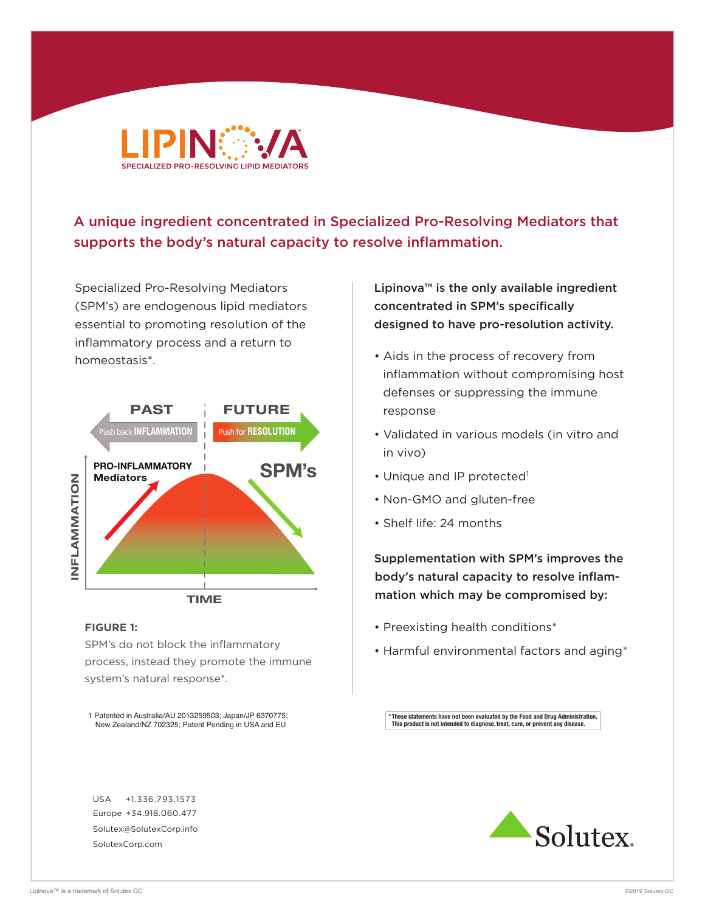

# A unique ingredient concentrated in Specialized Pro-Resolving Mediators that supports the body's natural capacity to resolve inflammation.

Specialized Pro-Resolving Mediators (SPM's) are endogenous lipid mediators essential to promoting resolution of the inflammatory process and a return to homeostasis\*.



#### **FIGURE 1:**

SPM's do not block the inflammatory process, instead they promote the immune system's natural response\*.

1 Patented in Australia/AU 2013259503; Japan/JP 6370775; New Zealand/NZ 702325; Patent Pending in USA and EU

USA +1.336.793.1573 Europe +34.918.060.477 Solutex@SolutexCorp.info SolutexCorp.com

Lipinova™ is the only available ingredient concentrated in SPM's specifically designed to have pro-resolution activity.

- Aids in the process of recovery from inflammation without compromising host defenses or suppressing the immune response
- Validated in various models (in vitro and in vivo)
- Unique and IP protected<sup>1</sup>
- Non-GMO and gluten-free
- Shelf life: 24 months

Supplementation with SPM's improves the body's natural capacity to resolve inflammation which may be compromised by:

- Preexisting health conditions\*
- Harmful environmental factors and aging\*

**\*These statements have not been evaluated by the Food and Drug Administration. This product is not intended to diagnose, treat, cure, or prevent any disease.**